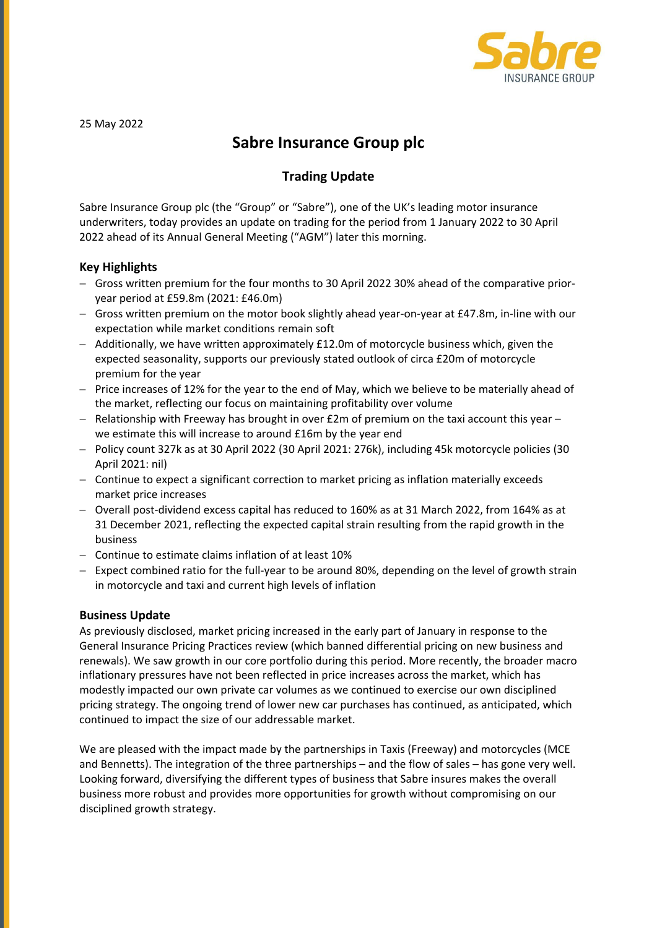

25 May 2022

# **Sabre Insurance Group plc**

## **Trading Update**

Sabre Insurance Group plc (the "Group" or "Sabre"), one of the UK's leading motor insurance underwriters, today provides an update on trading for the period from 1 January 2022 to 30 April 2022 ahead of its Annual General Meeting ("AGM") later this morning.

### **Key Highlights**

- Gross written premium for the four months to 30 April 2022 30% ahead of the comparative prioryear period at £59.8m (2021: £46.0m)
- Gross written premium on the motor book slightly ahead year‐on‐year at £47.8m, in‐line with our expectation while market conditions remain soft
- $-$  Additionally, we have written approximately £12.0m of motorcycle business which, given the expected seasonality, supports our previously stated outlook of circa £20m of motorcycle premium for the year
- $-$  Price increases of 12% for the year to the end of May, which we believe to be materially ahead of the market, reflecting our focus on maintaining profitability over volume
- $-$  Relationship with Freeway has brought in over £2m of premium on the taxi account this year we estimate this will increase to around £16m by the year end
- Policy count 327k as at 30 April 2022 (30 April 2021: 276k), including 45k motorcycle policies (30 April 2021: nil)
- Continue to expect a significant correction to market pricing as inflation materially exceeds market price increases
- Overall post-dividend excess capital has reduced to 160% as at 31 March 2022, from 164% as at 31 December 2021, reflecting the expected capital strain resulting from the rapid growth in the business
- Continue to estimate claims inflation of at least 10%
- Expect combined ratio for the full‐year to be around 80%, depending on the level of growth strain in motorcycle and taxi and current high levels of inflation

### **Business Update**

As previously disclosed, market pricing increased in the early part of January in response to the General Insurance Pricing Practices review (which banned differential pricing on new business and renewals). We saw growth in our core portfolio during this period. More recently, the broader macro inflationary pressures have not been reflected in price increases across the market, which has modestly impacted our own private car volumes as we continued to exercise our own disciplined pricing strategy. The ongoing trend of lower new car purchases has continued, as anticipated, which continued to impact the size of our addressable market.

We are pleased with the impact made by the partnerships in Taxis (Freeway) and motorcycles (MCE and Bennetts). The integration of the three partnerships – and the flow of sales – has gone very well. Looking forward, diversifying the different types of business that Sabre insures makes the overall business more robust and provides more opportunities for growth without compromising on our disciplined growth strategy.